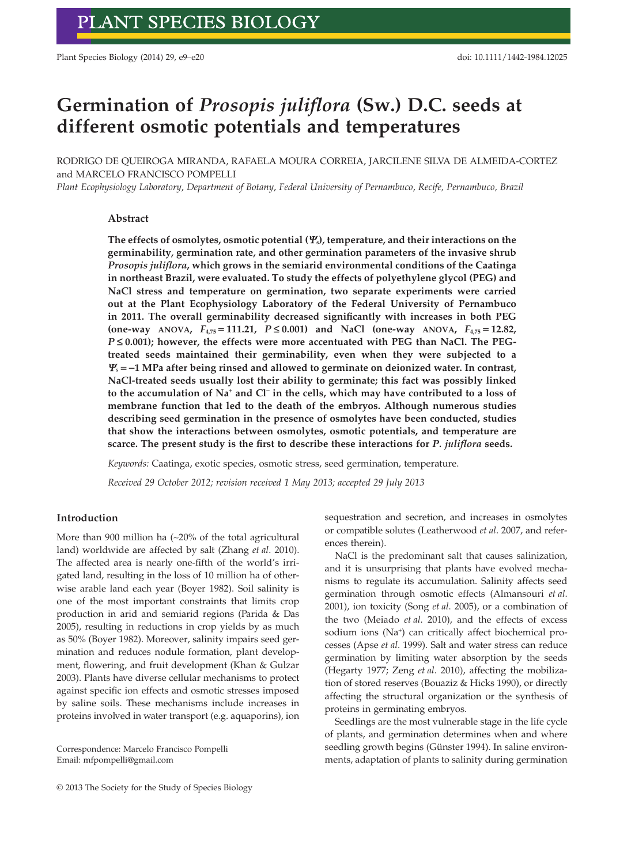Plant Species Biology (2014) 29, e9–e20 doi: 10.1111/1442-1984.12025

# **Germination of** *Prosopis juliflora* **(Sw.) D.C. seeds at different osmotic potentials and temperatures**

RODRIGO DE QUEIROGA MIRANDA, RAFAELA MOURA CORREIA, JARCILENE SILVA DE ALMEIDA-CORTEZ and MARCELO FRANCISCO POMPELLI

*Plant Ecophysiology Laboratory*, *Department of Botany*, *Federal University of Pernambuco*, *Recife, Pernambuco, Brazil*

## **Abstract**

**The effects of osmolytes, osmotic potential (***Ψ***s), temperature, and their interactions on the germinability, germination rate, and other germination parameters of the invasive shrub** *Prosopis juliflora***, which grows in the semiarid environmental conditions of the Caatinga in northeast Brazil, were evaluated. To study the effects of polyethylene glycol (PEG) and NaCl stress and temperature on germination, two separate experiments were carried out at the Plant Ecophysiology Laboratory of the Federal University of Pernambuco in 2011. The overall germinability decreased significantly with increases in both PEG (one-way ANOVA,** *F***4,75 = 111.21,** *P* **≤ 0.001) and NaCl (one-way ANOVA,** *F***4,75 = 12.82,** *P* ≤ 0.001); however, the effects were more accentuated with PEG than NaCl. The PEG**treated seeds maintained their germinability, even when they were subjected to a** *Ψ***<sup>s</sup> = −1 MPa after being rinsed and allowed to germinate on deionized water. In contrast, NaCl-treated seeds usually lost their ability to germinate; this fact was possibly linked to the accumulation of Na<sup>+</sup> and Cl<sup>−</sup> in the cells, which may have contributed to a loss of membrane function that led to the death of the embryos. Although numerous studies describing seed germination in the presence of osmolytes have been conducted, studies that show the interactions between osmolytes, osmotic potentials, and temperature are scarce. The present study is the first to describe these interactions for** *P. juliflora* **seeds.**

*Keywords:* Caatinga, exotic species, osmotic stress, seed germination, temperature.

*Received 29 October 2012; revision received 1 May 2013; accepted 29 July 2013*

## **Introduction**

More than 900 million ha (∼20% of the total agricultural land) worldwide are affected by salt (Zhang *et al*. 2010). The affected area is nearly one-fifth of the world's irrigated land, resulting in the loss of 10 million ha of otherwise arable land each year (Boyer 1982). Soil salinity is one of the most important constraints that limits crop production in arid and semiarid regions (Parida & Das 2005), resulting in reductions in crop yields by as much as 50% (Boyer 1982). Moreover, salinity impairs seed germination and reduces nodule formation, plant development, flowering, and fruit development (Khan & Gulzar 2003). Plants have diverse cellular mechanisms to protect against specific ion effects and osmotic stresses imposed by saline soils. These mechanisms include increases in proteins involved in water transport (e.g. aquaporins), ion

Correspondence: Marcelo Francisco Pompelli Email: [mfpompelli@gmail.com](mailto:mfpompelli@gmail.com)

sequestration and secretion, and increases in osmolytes or compatible solutes (Leatherwood *et al*. 2007, and references therein).

NaCl is the predominant salt that causes salinization, and it is unsurprising that plants have evolved mechanisms to regulate its accumulation. Salinity affects seed germination through osmotic effects (Almansouri *et al*. 2001), ion toxicity (Song *et al*. 2005), or a combination of the two (Meiado *et al*. 2010), and the effects of excess sodium ions (Na<sup>+</sup>) can critically affect biochemical processes (Apse *et al*. 1999). Salt and water stress can reduce germination by limiting water absorption by the seeds (Hegarty 1977; Zeng *et al*. 2010), affecting the mobilization of stored reserves (Bouaziz & Hicks 1990), or directly affecting the structural organization or the synthesis of proteins in germinating embryos.

Seedlings are the most vulnerable stage in the life cycle of plants, and germination determines when and where seedling growth begins (Günster 1994). In saline environments, adaptation of plants to salinity during germination

<sup>© 2013</sup> The Society for the Study of Species Biology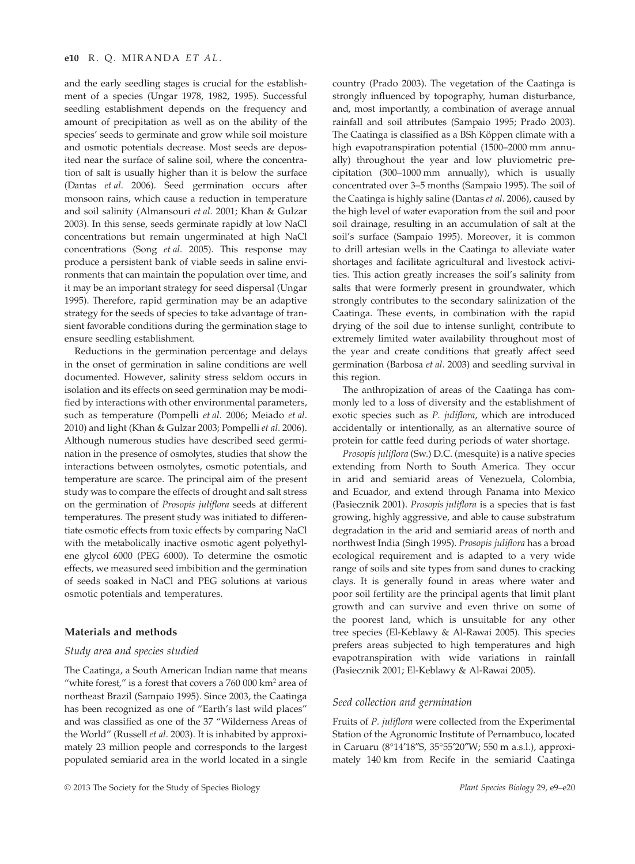and the early seedling stages is crucial for the establishment of a species (Ungar 1978, 1982, 1995). Successful seedling establishment depends on the frequency and amount of precipitation as well as on the ability of the species' seeds to germinate and grow while soil moisture and osmotic potentials decrease. Most seeds are deposited near the surface of saline soil, where the concentration of salt is usually higher than it is below the surface (Dantas *et al*. 2006). Seed germination occurs after monsoon rains, which cause a reduction in temperature and soil salinity (Almansouri *et al*. 2001; Khan & Gulzar 2003). In this sense, seeds germinate rapidly at low NaCl concentrations but remain ungerminated at high NaCl concentrations (Song *et al*. 2005). This response may produce a persistent bank of viable seeds in saline environments that can maintain the population over time, and it may be an important strategy for seed dispersal (Ungar 1995). Therefore, rapid germination may be an adaptive strategy for the seeds of species to take advantage of transient favorable conditions during the germination stage to ensure seedling establishment.

Reductions in the germination percentage and delays in the onset of germination in saline conditions are well documented. However, salinity stress seldom occurs in isolation and its effects on seed germination may be modified by interactions with other environmental parameters, such as temperature (Pompelli *et al*. 2006; Meiado *et al*. 2010) and light (Khan & Gulzar 2003; Pompelli *et al*. 2006). Although numerous studies have described seed germination in the presence of osmolytes, studies that show the interactions between osmolytes, osmotic potentials, and temperature are scarce. The principal aim of the present study was to compare the effects of drought and salt stress on the germination of *Prosopis juliflora* seeds at different temperatures. The present study was initiated to differentiate osmotic effects from toxic effects by comparing NaCl with the metabolically inactive osmotic agent polyethylene glycol 6000 (PEG 6000). To determine the osmotic effects, we measured seed imbibition and the germination of seeds soaked in NaCl and PEG solutions at various osmotic potentials and temperatures.

## **Materials and methods**

## *Study area and species studied*

The Caatinga, a South American Indian name that means "white forest," is a forest that covers a  $760000 \text{ km}^2$  area of northeast Brazil (Sampaio 1995). Since 2003, the Caatinga has been recognized as one of "Earth's last wild places" and was classified as one of the 37 "Wilderness Areas of the World" (Russell *et al*. 2003). It is inhabited by approximately 23 million people and corresponds to the largest populated semiarid area in the world located in a single country (Prado 2003). The vegetation of the Caatinga is strongly influenced by topography, human disturbance, and, most importantly, a combination of average annual rainfall and soil attributes (Sampaio 1995; Prado 2003). The Caatinga is classified as a BSh Köppen climate with a high evapotranspiration potential (1500–2000 mm annually) throughout the year and low pluviometric precipitation (300–1000 mm annually), which is usually concentrated over 3–5 months (Sampaio 1995). The soil of the Caatinga is highly saline (Dantas *et al*. 2006), caused by the high level of water evaporation from the soil and poor soil drainage, resulting in an accumulation of salt at the soil's surface (Sampaio 1995). Moreover, it is common to drill artesian wells in the Caatinga to alleviate water shortages and facilitate agricultural and livestock activities. This action greatly increases the soil's salinity from salts that were formerly present in groundwater, which strongly contributes to the secondary salinization of the Caatinga. These events, in combination with the rapid drying of the soil due to intense sunlight, contribute to extremely limited water availability throughout most of the year and create conditions that greatly affect seed germination (Barbosa *et al*. 2003) and seedling survival in this region.

The anthropization of areas of the Caatinga has commonly led to a loss of diversity and the establishment of exotic species such as *P. juliflora*, which are introduced accidentally or intentionally, as an alternative source of protein for cattle feed during periods of water shortage.

*Prosopis juliflora* (Sw.) D.C. (mesquite) is a native species extending from North to South America. They occur in arid and semiarid areas of Venezuela, Colombia, and Ecuador, and extend through Panama into Mexico (Pasiecznik 2001). *Prosopis juliflora* is a species that is fast growing, highly aggressive, and able to cause substratum degradation in the arid and semiarid areas of north and northwest India (Singh 1995). *Prosopis juliflora* has a broad ecological requirement and is adapted to a very wide range of soils and site types from sand dunes to cracking clays. It is generally found in areas where water and poor soil fertility are the principal agents that limit plant growth and can survive and even thrive on some of the poorest land, which is unsuitable for any other tree species (El-Keblawy & Al-Rawai 2005). This species prefers areas subjected to high temperatures and high evapotranspiration with wide variations in rainfall (Pasiecznik 2001; El-Keblawy & Al-Rawai 2005).

## *Seed collection and germination*

Fruits of *P. juliflora* were collected from the Experimental Station of the Agronomic Institute of Pernambuco, located in Caruaru (8°14′18″S, 35°55′20″W; 550 m a.s.l.), approximately 140 km from Recife in the semiarid Caatinga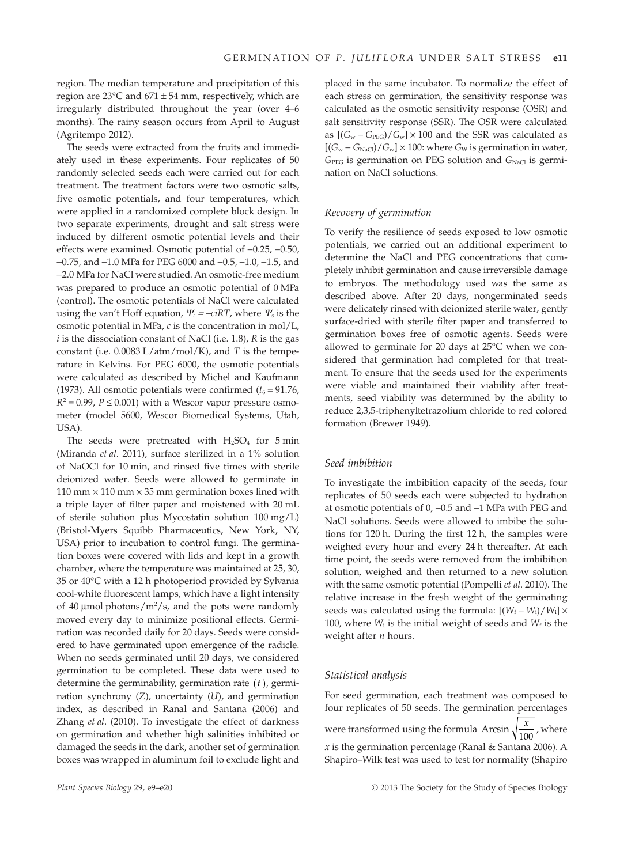region. The median temperature and precipitation of this region are 23 $\textdegree$ C and 671  $\pm$  54 mm, respectively, which are irregularly distributed throughout the year (over 4–6 months). The rainy season occurs from April to August (Agritempo 2012).

The seeds were extracted from the fruits and immediately used in these experiments. Four replicates of 50 randomly selected seeds each were carried out for each treatment. The treatment factors were two osmotic salts, five osmotic potentials, and four temperatures, which were applied in a randomized complete block design. In two separate experiments, drought and salt stress were induced by different osmotic potential levels and their effects were examined. Osmotic potential of −0.25, −0.50, −0.75, and −1.0 MPa for PEG 6000 and −0.5, −1.0, −1.5, and −2.0 MPa for NaCl were studied. An osmotic-free medium was prepared to produce an osmotic potential of 0 MPa (control). The osmotic potentials of NaCl were calculated using the van't Hoff equation,  $\Psi_s = -c iRT$ , where  $\Psi_s$  is the osmotic potential in MPa, *c* is the concentration in mol/L, *i* is the dissociation constant of NaCl (i.e. 1.8), *R* is the gas constant (i.e. 0.0083 L/atm/mol/K), and *T* is the temperature in Kelvins. For PEG 6000, the osmotic potentials were calculated as described by Michel and Kaufmann (1973). All osmotic potentials were confirmed  $(t_6 = 91.76$ ,  $R^2 = 0.99$ ,  $P \le 0.001$ ) with a Wescor vapor pressure osmometer (model 5600, Wescor Biomedical Systems, Utah, USA).

The seeds were pretreated with  $H<sub>2</sub>SO<sub>4</sub>$  for 5 min (Miranda *et al*. 2011), surface sterilized in a 1% solution of NaOCl for 10 min, and rinsed five times with sterile deionized water. Seeds were allowed to germinate in 110 mm  $\times$  110 mm  $\times$  35 mm germination boxes lined with a triple layer of filter paper and moistened with 20 mL of sterile solution plus Mycostatin solution 100 mg/L) (Bristol-Myers Squibb Pharmaceutics, New York, NY, USA) prior to incubation to control fungi. The germination boxes were covered with lids and kept in a growth chamber, where the temperature was maintained at 25, 30, 35 or 40°C with a 12 h photoperiod provided by Sylvania cool-white fluorescent lamps, which have a light intensity of 40  $\mu$ mol photons/m<sup>2</sup>/s, and the pots were randomly moved every day to minimize positional effects. Germination was recorded daily for 20 days. Seeds were considered to have germinated upon emergence of the radicle. When no seeds germinated until 20 days, we considered germination to be completed. These data were used to determine the germinability, germination rate  $(\bar{t})$ , germination synchrony (*Z*), uncertainty (*U*), and germination index, as described in Ranal and Santana (2006) and Zhang *et al*. (2010). To investigate the effect of darkness on germination and whether high salinities inhibited or damaged the seeds in the dark, another set of germination boxes was wrapped in aluminum foil to exclude light and placed in the same incubator. To normalize the effect of each stress on germination, the sensitivity response was calculated as the osmotic sensitivity response (OSR) and salt sensitivity response (SSR). The OSR were calculated as  $[(G_w - G_{\text{PEG}})/G_w] \times 100$  and the SSR was calculated as  $[(G_w - G_{NaCl})/G_w] \times 100$ : where  $G_w$  is germination in water, G<sub>PEG</sub> is germination on PEG solution and G<sub>NaCl</sub> is germination on NaCl soluctions.

## *Recovery of germination*

To verify the resilience of seeds exposed to low osmotic potentials, we carried out an additional experiment to determine the NaCl and PEG concentrations that completely inhibit germination and cause irreversible damage to embryos. The methodology used was the same as described above. After 20 days, nongerminated seeds were delicately rinsed with deionized sterile water, gently surface-dried with sterile filter paper and transferred to germination boxes free of osmotic agents. Seeds were allowed to germinate for 20 days at 25°C when we considered that germination had completed for that treatment. To ensure that the seeds used for the experiments were viable and maintained their viability after treatments, seed viability was determined by the ability to reduce 2,3,5-triphenyltetrazolium chloride to red colored formation (Brewer 1949).

#### *Seed imbibition*

To investigate the imbibition capacity of the seeds, four replicates of 50 seeds each were subjected to hydration at osmotic potentials of 0, −0.5 and −1 MPa with PEG and NaCl solutions. Seeds were allowed to imbibe the solutions for 120 h. During the first 12 h, the samples were weighed every hour and every 24 h thereafter. At each time point, the seeds were removed from the imbibition solution, weighed and then returned to a new solution with the same osmotic potential (Pompelli *et al*. 2010). The relative increase in the fresh weight of the germinating seeds was calculated using the formula:  $[(W_f - W_i)/W_i] \times$ 100, where  $W_i$  is the initial weight of seeds and  $W_f$  is the weight after *n* hours.

## *Statistical analysis*

For seed germination, each treatment was composed to four replicates of 50 seeds. The germination percentages were transformed using the formula Arcsin  $\sqrt{\frac{x}{100}}$ , where *x* is the germination percentage (Ranal & Santana 2006). A Shapiro–Wilk test was used to test for normality (Shapiro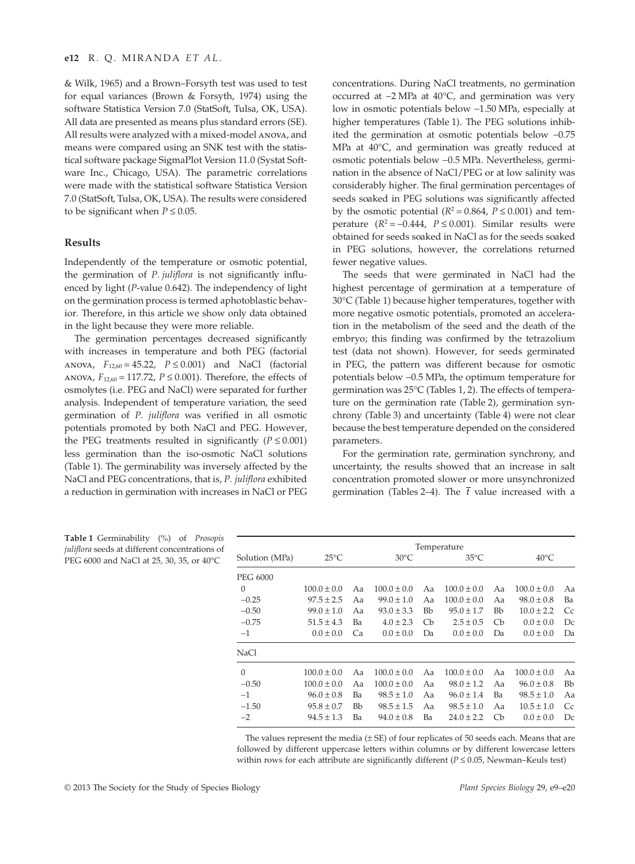& Wilk, 1965) and a Brown–Forsyth test was used to test for equal variances (Brown & Forsyth, 1974) using the software Statistica Version 7.0 (StatSoft, Tulsa, OK, USA). All data are presented as means plus standard errors (SE). All results were analyzed with a mixed-model anova, and means were compared using an SNK test with the statistical software package SigmaPlot Version 11.0 (Systat Software Inc., Chicago, USA). The parametric correlations were made with the statistical software Statistica Version 7.0 (StatSoft, Tulsa, OK, USA). The results were considered to be significant when  $P \leq 0.05$ .

## **Results**

Independently of the temperature or osmotic potential, the germination of *P. juliflora* is not significantly influenced by light (*P*-value 0.642). The independency of light on the germination process is termed aphotoblastic behavior. Therefore, in this article we show only data obtained in the light because they were more reliable.

The germination percentages decreased significantly with increases in temperature and both PEG (factorial ANOVA,  $F_{12,60} = 45.22$ ,  $P \le 0.001$ ) and NaCl (factorial anova,  $F_{12,60}$  = 117.72,  $P ≤ 0.001$ ). Therefore, the effects of osmolytes (i.e. PEG and NaCl) were separated for further analysis. Independent of temperature variation, the seed germination of *P. juliflora* was verified in all osmotic potentials promoted by both NaCl and PEG. However, the PEG treatments resulted in significantly  $(P \le 0.001)$ less germination than the iso-osmotic NaCl solutions (Table 1). The germinability was inversely affected by the NaCl and PEG concentrations, that is, *P. juliflora* exhibited a reduction in germination with increases in NaCl or PEG concentrations. During NaCl treatments, no germination occurred at −2 MPa at 40°C, and germination was very low in osmotic potentials below −1.50 MPa, especially at higher temperatures (Table 1). The PEG solutions inhibited the germination at osmotic potentials below −0.75 MPa at 40°C, and germination was greatly reduced at osmotic potentials below −0.5 MPa. Nevertheless, germination in the absence of NaCl/PEG or at low salinity was considerably higher. The final germination percentages of seeds soaked in PEG solutions was significantly affected by the osmotic potential  $(R^2 = 0.864, P \le 0.001)$  and temperature  $(R^2 = -0.444, P \le 0.001)$ . Similar results were obtained for seeds soaked in NaCl as for the seeds soaked in PEG solutions, however, the correlations returned fewer negative values.

The seeds that were germinated in NaCl had the highest percentage of germination at a temperature of 30°C (Table 1) because higher temperatures, together with more negative osmotic potentials, promoted an acceleration in the metabolism of the seed and the death of the embryo; this finding was confirmed by the tetrazolium test (data not shown). However, for seeds germinated in PEG, the pattern was different because for osmotic potentials below −0.5 MPa, the optimum temperature for germination was 25°C (Tables 1, 2). The effects of temperature on the germination rate (Table 2), germination synchrony (Table 3) and uncertainty (Table 4) were not clear because the best temperature depended on the considered parameters.

For the germination rate, germination synchrony, and uncertainty, the results showed that an increase in salt concentration promoted slower or more unsynchronized germination (Tables 2–4). The  $\bar{t}$  value increased with a

**Table 1** Germinability (%) of *Prosopis juliflora* seeds at different concentrations of PEG 6000 and NaCl at 25, 30, 35, or  $40^{\circ}$ C Solution (MPa) Temperature  $25^{\circ}$ C  $30^{\circ}$ C  $35^{\circ}$ C  $40^{\circ}$ C PEG 6000 0  $100.0 \pm 0.0$  Aa  $100.0 \pm 0.0$  Aa  $100.0 \pm 0.0$  Aa  $100.0 \pm 0.0$  Aa  $-0.25$  97.5 ± 2.5 Aa 99.0  $\pm$  1.0 Aa 100.0  $\pm$  0.0 Aa 98.0  $\pm$  0.8 Ba −0.50 99.0 ± 1.0 Aa 93.0 ± 3.3 Bb 95.0 ± 1.7 Bb 10.0 ± 2.2 Cc −0.75 51.5 ± 4.3 Ba 4.0 ± 2.3 Cb 2.5 ± 0.5 Cb 0.0 ± 0.0 Dc −1 0.0 ± 0.0 Ca 0.0 ± 0.0 Da 0.0 ± 0.0 Da 0.0 ± 0.0 Da NaCl 0 100.0 ± 0.0 Aa  $100.0 \pm 0.0$  Aa  $100.0 \pm 0.0$  Aa  $100.0 \pm 0.0$  Aa  $98.0 \pm 1.2$  Aa  $96.0 \pm 0.8$  Bb

> The values represent the media  $(\pm SE)$  of four replicates of 50 seeds each. Means that are followed by different uppercase letters within columns or by different lowercase letters within rows for each attribute are significantly different ( $P \le 0.05$ , Newman–Keuls test)

−0.50 100.0 ± 0.0 Aa 100.0 ± 0.0 Aa 98.0 ± 1.2 Aa 96.0 ± 0.8 Bb −1 96.0 ± 0.8 Ba 98.5 ± 1.0 Aa 96.0 ± 1.4 Ba 98.5 ± 1.0 Aa −1.50 95.8 ± 0.7 Bb 98.5 ± 1.5 Aa 98.5 ± 1.0 Aa 10.5 ± 1.0 Cc −2 94.5 ± 1.3 Ba 94.0 ± 0.8 Ba 24.0 ± 2.2 Cb 0.0 ± 0.0 Dc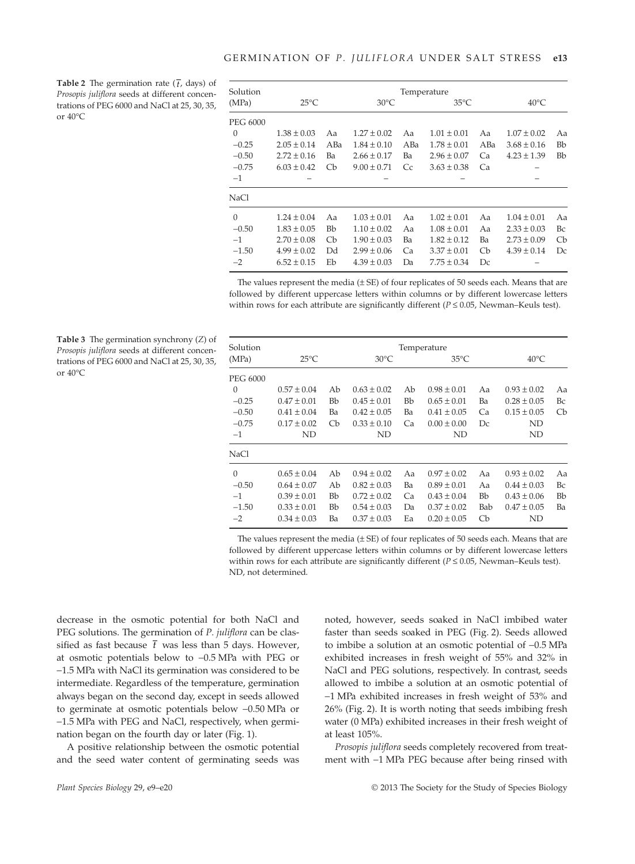**Table 2** The germination rate  $(\bar{t}, \text{days})$  of *Prosopis juliflora* seeds at different concentrations of PEG 6000 and NaCl at 25, 30, 35, or 40°C

**Table 3** The germination synchrony (*Z*) of *Prosopis juliflora* seeds at different concentrations of PEG 6000 and NaCl at 25, 30, 35,

or  $40^{\circ}$ C

| Solution        | Temperature     |                           |                 |     |                 |                           |                 |                           |  |
|-----------------|-----------------|---------------------------|-----------------|-----|-----------------|---------------------------|-----------------|---------------------------|--|
| (MPa)           | $25^{\circ}$ C  |                           | $30^{\circ}$ C  |     | $35^{\circ}$ C  |                           | $40^{\circ}$ C  |                           |  |
| <b>PEG 6000</b> |                 |                           |                 |     |                 |                           |                 |                           |  |
| $\Omega$        | $1.38 \pm 0.03$ | Aa                        | $1.27 \pm 0.02$ | Aa  | $1.01 \pm 0.01$ | Aa                        | $1.07 \pm 0.02$ | Aa                        |  |
| $-0.25$         | $2.05 \pm 0.14$ | ABa                       | $1.84 \pm 0.10$ | ABa | $1.78 \pm 0.01$ | ABa                       | $3.68 \pm 0.16$ | Bb                        |  |
| $-0.50$         | $2.72 \pm 0.16$ | Ba                        | $2.66 \pm 0.17$ | Ba  | $2.96 \pm 0.07$ | Ca                        | $4.23 \pm 1.39$ | Bb                        |  |
| $-0.75$         | $6.03 \pm 0.42$ | $\mathbb{C}^{\mathsf{b}}$ | $9.00 \pm 0.71$ | Cc  | $3.63 \pm 0.38$ | Ca                        |                 |                           |  |
| $-1$            |                 |                           |                 |     |                 |                           |                 |                           |  |
| <b>NaCl</b>     |                 |                           |                 |     |                 |                           |                 |                           |  |
| $\theta$        | $1.24 \pm 0.04$ | Aa                        | $1.03 \pm 0.01$ | Aa  | $1.02 \pm 0.01$ | Aa                        | $1.04 \pm 0.01$ | Aa                        |  |
| $-0.50$         | $1.83 \pm 0.05$ | Bb                        | $1.10 \pm 0.02$ | Aa  | $1.08 \pm 0.01$ | Aa                        | $2.33 \pm 0.03$ | Вc                        |  |
| $-1$            | $2.70 \pm 0.08$ | Cb                        | $1.90 \pm 0.03$ | Ba  | $1.82 \pm 0.12$ | Ba                        | $2.73 \pm 0.09$ | $\mathbb{C}^{\mathsf{b}}$ |  |
| $-1.50$         | $4.99 \pm 0.02$ | Dd                        | $2.99 \pm 0.06$ | Ca  | $3.37 \pm 0.01$ | $\mathbb{C}^{\mathsf{b}}$ | $4.39 \pm 0.14$ | Dc                        |  |
| $-2$            | $6.52 \pm 0.15$ | Eb                        | $4.39 \pm 0.03$ | Da  | $7.75 \pm 0.34$ | Dc                        |                 |                           |  |

The values represent the media  $(\pm SE)$  of four replicates of 50 seeds each. Means that are followed by different uppercase letters within columns or by different lowercase letters within rows for each attribute are significantly different (*P* ≤ 0.05, Newman–Keuls test).

| Solution    | Temperature     |    |                 |    |                 |                           |                 |    |
|-------------|-----------------|----|-----------------|----|-----------------|---------------------------|-----------------|----|
| (MPa)       | $25^{\circ}$ C  |    | $30^{\circ}$ C  |    | $35^{\circ}$ C  |                           | $40^{\circ}$ C  |    |
| PEG 6000    |                 |    |                 |    |                 |                           |                 |    |
| $\Omega$    | $0.57 \pm 0.04$ | Ab | $0.63 \pm 0.02$ | Ab | $0.98 \pm 0.01$ | Aa                        | $0.93 \pm 0.02$ | Aa |
| $-0.25$     | $0.47 \pm 0.01$ | Bb | $0.45 \pm 0.01$ | Bb | $0.65 \pm 0.01$ | Ba                        | $0.28 \pm 0.05$ | Bc |
| $-0.50$     | $0.41 \pm 0.04$ | Ba | $0.42 \pm 0.05$ | Ba | $0.41 \pm 0.05$ | Ca                        | $0.15 \pm 0.05$ | Cb |
| $-0.75$     | $0.17 \pm 0.02$ | Cb | $0.33 \pm 0.10$ | Ca | $0.00 \pm 0.00$ | Dc                        | ND              |    |
| $-1$        | ND              |    | ND              |    | ND              |                           | ND              |    |
| <b>NaCl</b> |                 |    |                 |    |                 |                           |                 |    |
| $\Omega$    | $0.65 \pm 0.04$ | Ab | $0.94 \pm 0.02$ | Aa | $0.97 \pm 0.02$ | Aa                        | $0.93 \pm 0.02$ | Aa |
| $-0.50$     | $0.64 \pm 0.07$ | Ab | $0.82 \pm 0.03$ | Ba | $0.89 \pm 0.01$ | Aa                        | $0.44 \pm 0.03$ | Bc |
| $-1$        | $0.39 \pm 0.01$ | Bb | $0.72 \pm 0.02$ | Ca | $0.43 \pm 0.04$ | <b>Bb</b>                 | $0.43 \pm 0.06$ | Bb |
| $-1.50$     | $0.33 \pm 0.01$ | Bb | $0.54 \pm 0.03$ | Da | $0.37 \pm 0.02$ | Bab                       | $0.47 \pm 0.05$ | Ba |
| $-2$        | $0.34 \pm 0.03$ | Ba | $0.37 \pm 0.03$ | Ea | $0.20 \pm 0.05$ | $\mathbb{C}^{\mathsf{b}}$ | ND              |    |

The values represent the media  $(\pm SE)$  of four replicates of 50 seeds each. Means that are followed by different uppercase letters within columns or by different lowercase letters within rows for each attribute are significantly different (*P* ≤ 0.05, Newman–Keuls test). ND, not determined.

decrease in the osmotic potential for both NaCl and PEG solutions. The germination of *P. juliflora* can be classified as fast because  $\bar{t}$  was less than 5 days. However, at osmotic potentials below to −0.5 MPa with PEG or −1.5 MPa with NaCl its germination was considered to be intermediate. Regardless of the temperature, germination always began on the second day, except in seeds allowed to germinate at osmotic potentials below −0.50 MPa or −1.5 MPa with PEG and NaCl, respectively, when germination began on the fourth day or later (Fig. 1).

A positive relationship between the osmotic potential and the seed water content of germinating seeds was

noted, however, seeds soaked in NaCl imbibed water faster than seeds soaked in PEG (Fig. 2). Seeds allowed to imbibe a solution at an osmotic potential of −0.5 MPa exhibited increases in fresh weight of 55% and 32% in NaCl and PEG solutions, respectively. In contrast, seeds allowed to imbibe a solution at an osmotic potential of −1 MPa exhibited increases in fresh weight of 53% and 26% (Fig. 2). It is worth noting that seeds imbibing fresh water (0 MPa) exhibited increases in their fresh weight of at least 105%.

*Prosopis juliflora* seeds completely recovered from treatment with −1 MPa PEG because after being rinsed with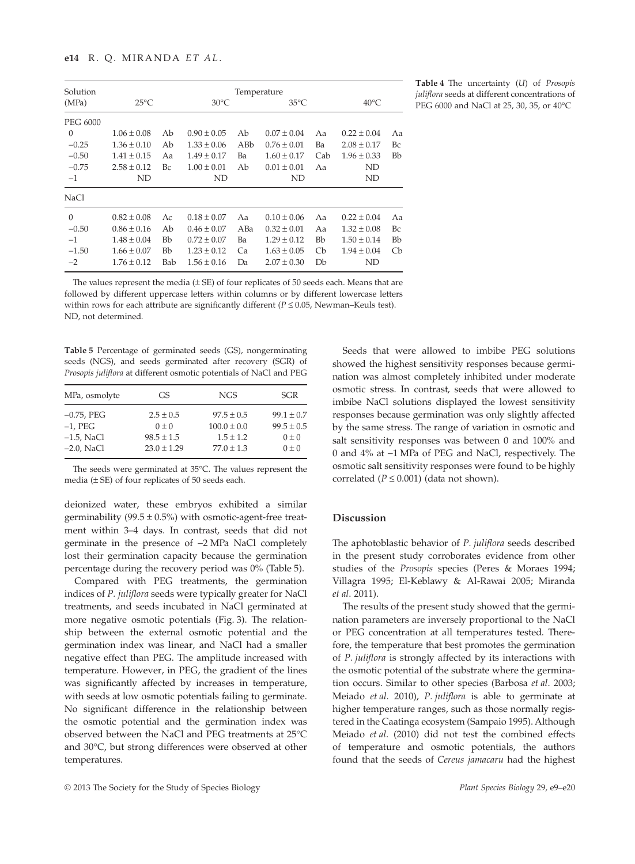| Solution |                 |     |                 | Temperature |                 |                           |                 |                           |
|----------|-----------------|-----|-----------------|-------------|-----------------|---------------------------|-----------------|---------------------------|
| (MPa)    | $25^{\circ}$ C  |     | $30^{\circ}$ C  |             | $35^{\circ}$ C  |                           | $40^{\circ}$ C  |                           |
| PEG 6000 |                 |     |                 |             |                 |                           |                 |                           |
| $\Omega$ | $1.06 \pm 0.08$ | Ab  | $0.90 \pm 0.05$ | Ab          | $0.07 \pm 0.04$ | Aa                        | $0.22 \pm 0.04$ | Aa                        |
| $-0.25$  | $1.36 \pm 0.10$ | Ab  | $1.33 \pm 0.06$ | ABb         | $0.76 \pm 0.01$ | Ba                        | $2.08 \pm 0.17$ | Bc                        |
| $-0.50$  | $1.41 \pm 0.15$ | Aa  | $1.49 \pm 0.17$ | Ba          | $1.60 \pm 0.17$ | Cab                       | $1.96 \pm 0.33$ | <b>Bb</b>                 |
| $-0.75$  | $2.58 \pm 0.12$ | Bc  | $1.00 \pm 0.01$ | Ab          | $0.01 \pm 0.01$ | Aa                        | ND              |                           |
| $-1$     | ND              |     | ND              |             | ND              |                           | ND              |                           |
| NaCl     |                 |     |                 |             |                 |                           |                 |                           |
| $\Omega$ | $0.82 \pm 0.08$ | Ac  | $0.18 \pm 0.07$ | Aa          | $0.10 \pm 0.06$ | Aa                        | $0.22 \pm 0.04$ | Aa                        |
| $-0.50$  | $0.86 \pm 0.16$ | Ab  | $0.46 \pm 0.07$ | ABa         | $0.32 \pm 0.01$ | Aa                        | $1.32 \pm 0.08$ | Bc                        |
| $-1$     | $1.48 \pm 0.04$ | Bb  | $0.72 \pm 0.07$ | Ba          | $1.29 \pm 0.12$ | Bb                        | $1.50 \pm 0.14$ | <b>Bb</b>                 |
| $-1.50$  | $1.66 \pm 0.07$ | Bb  | $1.23 \pm 0.12$ | Ca          | $1.63 \pm 0.05$ | $\mathbb{C}^{\mathsf{b}}$ | $1.94 \pm 0.04$ | $\mathbb{C}^{\mathsf{b}}$ |
| $-2$     | $1.76 \pm 0.12$ | Bab | $1.56 \pm 0.16$ | Da          | $2.07 \pm 0.30$ | Db                        | ND              |                           |

**Table 4** The uncertainty (*U*) of *Prosopis juliflora* seeds at different concentrations of PEG 6000 and NaCl at 25, 30, 35, or 40°C

The values represent the media (± SE) of four replicates of 50 seeds each. Means that are followed by different uppercase letters within columns or by different lowercase letters within rows for each attribute are significantly different (*P* ≤ 0.05, Newman–Keuls test). ND, not determined.

**Table 5** Percentage of germinated seeds (GS), nongerminating seeds (NGS), and seeds germinated after recovery (SGR) of *Prosopis juliflora* at different osmotic potentials of NaCl and PEG

| MPa, osmolyte | GS.             | NGS             | <b>SGR</b>     |
|---------------|-----------------|-----------------|----------------|
| $-0.75$ , PEG | $2.5 \pm 0.5$   | $97.5 \pm 0.5$  | $99.1 \pm 0.7$ |
| $-1$ , PEG    | $0 \pm 0$       | $100.0 \pm 0.0$ | $99.5 \pm 0.5$ |
| $-1.5$ , NaCl | $98.5 \pm 1.5$  | $1.5 \pm 1.2$   | $0 \pm 0$      |
| $-2.0$ , NaCl | $23.0 \pm 1.29$ | $77.0 \pm 1.3$  | $0 \pm 0$      |

The seeds were germinated at 35°C. The values represent the media (± SE) of four replicates of 50 seeds each.

deionized water, these embryos exhibited a similar germinability (99.5  $\pm$  0.5%) with osmotic-agent-free treatment within 3–4 days. In contrast, seeds that did not germinate in the presence of −2 MPa NaCl completely lost their germination capacity because the germination percentage during the recovery period was 0% (Table 5).

Compared with PEG treatments, the germination indices of *P. juliflora* seeds were typically greater for NaCl treatments, and seeds incubated in NaCl germinated at more negative osmotic potentials (Fig. 3). The relationship between the external osmotic potential and the germination index was linear, and NaCl had a smaller negative effect than PEG. The amplitude increased with temperature. However, in PEG, the gradient of the lines was significantly affected by increases in temperature, with seeds at low osmotic potentials failing to germinate. No significant difference in the relationship between the osmotic potential and the germination index was observed between the NaCl and PEG treatments at 25°C and 30°C, but strong differences were observed at other temperatures.

Seeds that were allowed to imbibe PEG solutions showed the highest sensitivity responses because germination was almost completely inhibited under moderate osmotic stress. In contrast, seeds that were allowed to imbibe NaCl solutions displayed the lowest sensitivity responses because germination was only slightly affected by the same stress. The range of variation in osmotic and salt sensitivity responses was between 0 and 100% and 0 and 4% at −1 MPa of PEG and NaCl, respectively. The osmotic salt sensitivity responses were found to be highly correlated ( $P \le 0.001$ ) (data not shown).

## **Discussion**

The aphotoblastic behavior of *P. juliflora* seeds described in the present study corroborates evidence from other studies of the *Prosopis* species (Peres & Moraes 1994; Villagra 1995; El-Keblawy & Al-Rawai 2005; Miranda *et al*. 2011).

The results of the present study showed that the germination parameters are inversely proportional to the NaCl or PEG concentration at all temperatures tested. Therefore, the temperature that best promotes the germination of *P. juliflora* is strongly affected by its interactions with the osmotic potential of the substrate where the germination occurs. Similar to other species (Barbosa *et al*. 2003; Meiado *et al*. 2010), *P. juliflora* is able to germinate at higher temperature ranges, such as those normally registered in the Caatinga ecosystem (Sampaio 1995). Although Meiado *et al*. (2010) did not test the combined effects of temperature and osmotic potentials, the authors found that the seeds of *Cereus jamacaru* had the highest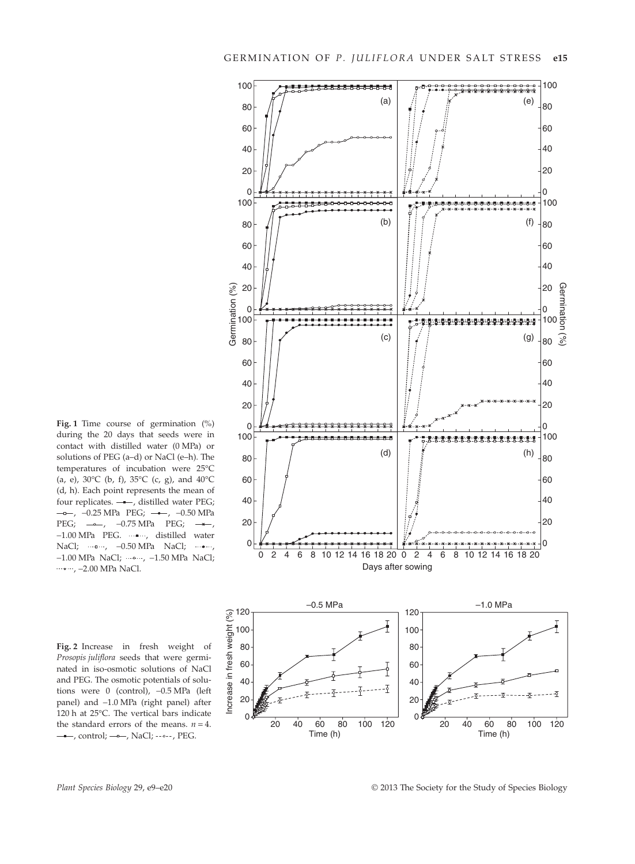

**Fig. 1** Time course of germination (%) during the 20 days that seeds were in contact with distilled water (0 MPa) or solutions of PEG (a–d) or NaCl (e–h). The temperatures of incubation were 25°C (a, e),  $30^{\circ}$ C (b, f),  $35^{\circ}$ C (c, g), and  $40^{\circ}$ C (d, h). Each point represents the mean of four replicates.  $-\rightarrow$ , distilled water PEG; –––, –0.25 MPa PEG; –––, –0.50 MPa PEG;  $\rightarrow -1.75$  MPa PEG;  $\rightarrow -1.75$  MPa PEG;  $\rightarrow -1.75$ −1.00 MPa PEG. ......., distilled water NaCl; ……, -0.50 MPa NaCl; ……, −1.00 MPa NaCl; , −1.50 MPa NaCl; , −2.00 MPa NaCl.

**Fig. 2** Increase in fresh weight of *Prosopis juliflora* seeds that were germinated in iso-osmotic solutions of NaCl and PEG. The osmotic potentials of solutions were 0 (control), −0.5 MPa (left panel) and −1.0 MPa (right panel) after 120 h at 25°C. The vertical bars indicate the standard errors of the means.  $n = 4$ .  $-$ , control;  $-$ –, NaCl;  $\cdot$ –, PEG.

Increase in fresh weight (%) Increase in fresh  $60$   $\uparrow$   $\uparrow$   $\uparrow$   $\uparrow$  60  $40$   $\sqrt{2}$   $\sqrt{2}$   $\sqrt{1}$   $\sqrt{40}$ 20 <del>생</del>수 전 1 - 20 0 0 20 20 40 40 60 60 80 80 100 100 120 120 Time (h) Time (h)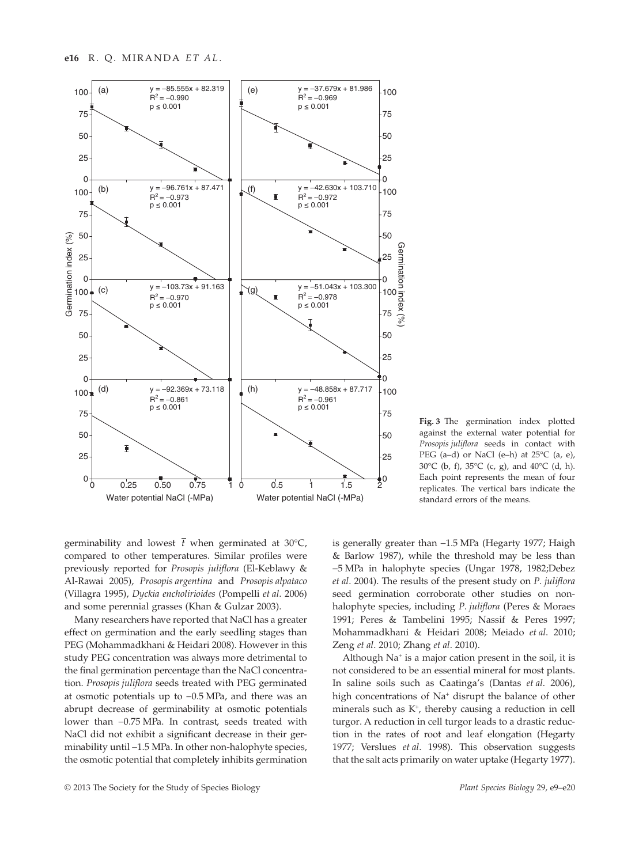

**Fig. 3** The germination index plotted against the external water potential for *Prosopis juliflora* seeds in contact with PEG (a–d) or NaCl (e–h) at 25°C (a, e), 30°C (b, f), 35°C (c, g), and 40°C (d, h). Each point represents the mean of four replicates. The vertical bars indicate the standard errors of the means.

germinability and lowest  $\bar{t}$  when germinated at 30°C, compared to other temperatures. Similar profiles were previously reported for *Prosopis juliflora* (El-Keblawy & Al-Rawai 2005), *Prosopis argentina* and *Prosopis alpataco* (Villagra 1995), *Dyckia encholirioides* (Pompelli *et al*. 2006) and some perennial grasses (Khan & Gulzar 2003).

Many researchers have reported that NaCl has a greater effect on germination and the early seedling stages than PEG (Mohammadkhani & Heidari 2008). However in this study PEG concentration was always more detrimental to the final germination percentage than the NaCl concentration. *Prosopis juliflora* seeds treated with PEG germinated at osmotic potentials up to −0.5 MPa, and there was an abrupt decrease of germinability at osmotic potentials lower than −0.75 MPa. In contrast, seeds treated with NaCl did not exhibit a significant decrease in their germinability until −1.5 MPa. In other non-halophyte species, the osmotic potential that completely inhibits germination

is generally greater than −1.5 MPa (Hegarty 1977; Haigh & Barlow 1987), while the threshold may be less than −5 MPa in halophyte species (Ungar 1978, 1982;Debez *et al*. 2004). The results of the present study on *P. juliflora* seed germination corroborate other studies on nonhalophyte species, including *P. juliflora* (Peres & Moraes 1991; Peres & Tambelini 1995; Nassif & Peres 1997; Mohammadkhani & Heidari 2008; Meiado *et al*. 2010; Zeng *et al*. 2010; Zhang *et al*. 2010).

Although Na<sup>+</sup> is a major cation present in the soil, it is not considered to be an essential mineral for most plants. In saline soils such as Caatinga's (Dantas *et al*. 2006), high concentrations of Na<sup>+</sup> disrupt the balance of other minerals such as K<sup>+</sup>, thereby causing a reduction in cell turgor. A reduction in cell turgor leads to a drastic reduction in the rates of root and leaf elongation (Hegarty 1977; Verslues *et al*. 1998). This observation suggests that the salt acts primarily on water uptake (Hegarty 1977).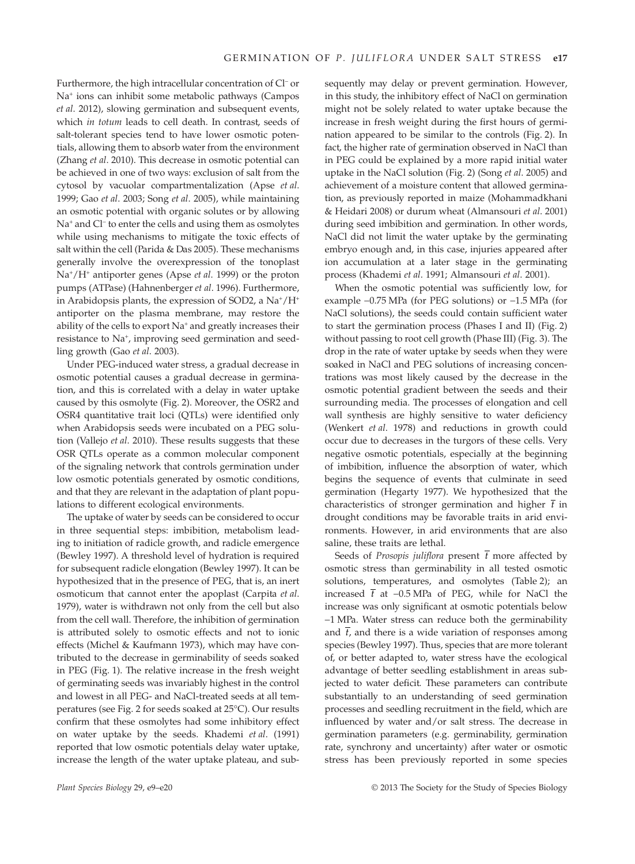Furthermore, the high intracellular concentration of Cl<sup>−</sup> or Na<sup>+</sup> ions can inhibit some metabolic pathways (Campos *et al*. 2012), slowing germination and subsequent events, which *in totum* leads to cell death. In contrast, seeds of salt-tolerant species tend to have lower osmotic potentials, allowing them to absorb water from the environment (Zhang *et al*. 2010). This decrease in osmotic potential can be achieved in one of two ways: exclusion of salt from the cytosol by vacuolar compartmentalization (Apse *et al*. 1999; Gao *et al*. 2003; Song *et al*. 2005), while maintaining an osmotic potential with organic solutes or by allowing Na<sup>+</sup> and Cl<sup>−</sup> to enter the cells and using them as osmolytes while using mechanisms to mitigate the toxic effects of salt within the cell (Parida & Das 2005). These mechanisms generally involve the overexpression of the tonoplast Na<sup>+</sup> /H<sup>+</sup> antiporter genes (Apse *et al*. 1999) or the proton pumps (ATPase) (Hahnenberger *et al*. 1996). Furthermore, in Arabidopsis plants, the expression of SOD2, a Na<sup>+</sup>/H<sup>+</sup> antiporter on the plasma membrane, may restore the ability of the cells to export Na<sup>+</sup> and greatly increases their resistance to Na<sup>+</sup>, improving seed germination and seedling growth (Gao *et al*. 2003).

Under PEG-induced water stress, a gradual decrease in osmotic potential causes a gradual decrease in germination, and this is correlated with a delay in water uptake caused by this osmolyte (Fig. 2). Moreover, the OSR2 and OSR4 quantitative trait loci (QTLs) were identified only when Arabidopsis seeds were incubated on a PEG solution (Vallejo *et al*. 2010). These results suggests that these OSR QTLs operate as a common molecular component of the signaling network that controls germination under low osmotic potentials generated by osmotic conditions, and that they are relevant in the adaptation of plant populations to different ecological environments.

The uptake of water by seeds can be considered to occur in three sequential steps: imbibition, metabolism leading to initiation of radicle growth, and radicle emergence (Bewley 1997). A threshold level of hydration is required for subsequent radicle elongation (Bewley 1997). It can be hypothesized that in the presence of PEG, that is, an inert osmoticum that cannot enter the apoplast (Carpita *et al*. 1979), water is withdrawn not only from the cell but also from the cell wall. Therefore, the inhibition of germination is attributed solely to osmotic effects and not to ionic effects (Michel & Kaufmann 1973), which may have contributed to the decrease in germinability of seeds soaked in PEG (Fig. 1). The relative increase in the fresh weight of germinating seeds was invariably highest in the control and lowest in all PEG- and NaCl-treated seeds at all temperatures (see Fig. 2 for seeds soaked at 25°C). Our results confirm that these osmolytes had some inhibitory effect on water uptake by the seeds. Khademi *et al*. (1991) reported that low osmotic potentials delay water uptake, increase the length of the water uptake plateau, and subsequently may delay or prevent germination. However, in this study, the inhibitory effect of NaCl on germination might not be solely related to water uptake because the increase in fresh weight during the first hours of germination appeared to be similar to the controls (Fig. 2). In fact, the higher rate of germination observed in NaCl than in PEG could be explained by a more rapid initial water uptake in the NaCl solution (Fig. 2) (Song *et al*. 2005) and achievement of a moisture content that allowed germination, as previously reported in maize (Mohammadkhani & Heidari 2008) or durum wheat (Almansouri *et al*. 2001) during seed imbibition and germination. In other words, NaCl did not limit the water uptake by the germinating embryo enough and, in this case, injuries appeared after ion accumulation at a later stage in the germinating process (Khademi *et al*. 1991; Almansouri *et al*. 2001).

When the osmotic potential was sufficiently low, for example −0.75 MPa (for PEG solutions) or −1.5 MPa (for NaCl solutions), the seeds could contain sufficient water to start the germination process (Phases I and II) (Fig. 2) without passing to root cell growth (Phase III) (Fig. 3). The drop in the rate of water uptake by seeds when they were soaked in NaCl and PEG solutions of increasing concentrations was most likely caused by the decrease in the osmotic potential gradient between the seeds and their surrounding media. The processes of elongation and cell wall synthesis are highly sensitive to water deficiency (Wenkert *et al*. 1978) and reductions in growth could occur due to decreases in the turgors of these cells. Very negative osmotic potentials, especially at the beginning of imbibition, influence the absorption of water, which begins the sequence of events that culminate in seed germination (Hegarty 1977). We hypothesized that the characteristics of stronger germination and higher  $\bar{t}$  in drought conditions may be favorable traits in arid environments. However, in arid environments that are also saline, these traits are lethal.

Seeds of *Prosopis juliflora* present  $\bar{t}$  more affected by osmotic stress than germinability in all tested osmotic solutions, temperatures, and osmolytes (Table 2); an increased *t* at −0.5 MPa of PEG, while for NaCl the increase was only significant at osmotic potentials below −1 MPa. Water stress can reduce both the germinability and  $\bar{t}$ , and there is a wide variation of responses among species (Bewley 1997). Thus, species that are more tolerant of, or better adapted to, water stress have the ecological advantage of better seedling establishment in areas subjected to water deficit. These parameters can contribute substantially to an understanding of seed germination processes and seedling recruitment in the field, which are influenced by water and/or salt stress. The decrease in germination parameters (e.g. germinability, germination rate, synchrony and uncertainty) after water or osmotic stress has been previously reported in some species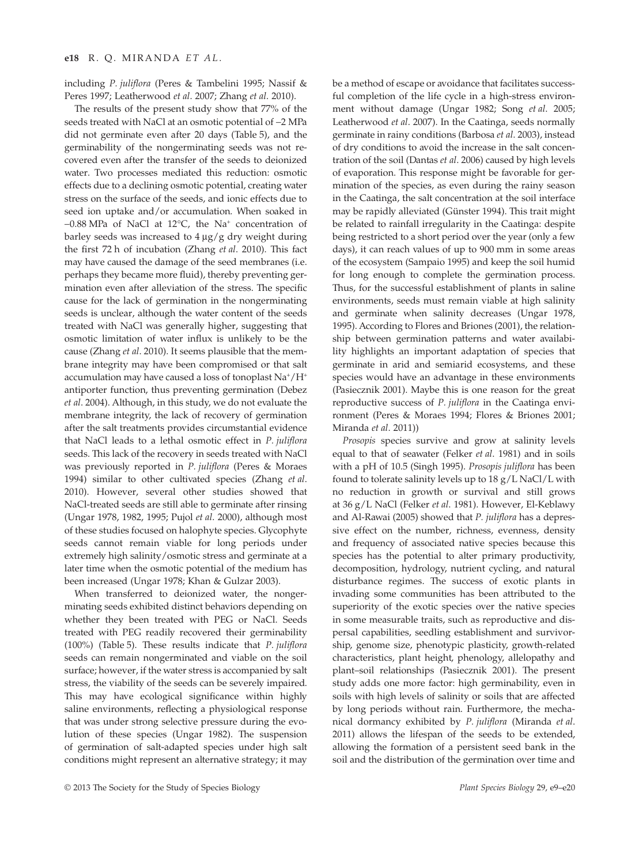including *P. juliflora* (Peres & Tambelini 1995; Nassif & Peres 1997; Leatherwood *et al*. 2007; Zhang *et al*. 2010).

The results of the present study show that 77% of the seeds treated with NaCl at an osmotic potential of −2 MPa did not germinate even after 20 days (Table 5), and the germinability of the nongerminating seeds was not recovered even after the transfer of the seeds to deionized water. Two processes mediated this reduction: osmotic effects due to a declining osmotic potential, creating water stress on the surface of the seeds, and ionic effects due to seed ion uptake and/or accumulation. When soaked in −0.88 MPa of NaCl at 12°C, the Na<sup>+</sup> concentration of barley seeds was increased to  $4 \mu g/g$  dry weight during the first 72 h of incubation (Zhang *et al*. 2010). This fact may have caused the damage of the seed membranes (i.e. perhaps they became more fluid), thereby preventing germination even after alleviation of the stress. The specific cause for the lack of germination in the nongerminating seeds is unclear, although the water content of the seeds treated with NaCl was generally higher, suggesting that osmotic limitation of water influx is unlikely to be the cause (Zhang *et al*. 2010). It seems plausible that the membrane integrity may have been compromised or that salt accumulation may have caused a loss of tonoplast  $\mathrm{Na^+}/\mathrm{H^+}$ antiporter function, thus preventing germination (Debez *et al*. 2004). Although, in this study, we do not evaluate the membrane integrity, the lack of recovery of germination after the salt treatments provides circumstantial evidence that NaCl leads to a lethal osmotic effect in *P. juliflora* seeds. This lack of the recovery in seeds treated with NaCl was previously reported in *P. juliflora* (Peres & Moraes 1994) similar to other cultivated species (Zhang *et al*. 2010). However, several other studies showed that NaCl-treated seeds are still able to germinate after rinsing (Ungar 1978, 1982, 1995; Pujol *et al*. 2000), although most of these studies focused on halophyte species. Glycophyte seeds cannot remain viable for long periods under extremely high salinity/osmotic stress and germinate at a later time when the osmotic potential of the medium has been increased (Ungar 1978; Khan & Gulzar 2003).

When transferred to deionized water, the nongerminating seeds exhibited distinct behaviors depending on whether they been treated with PEG or NaCl. Seeds treated with PEG readily recovered their germinability (100%) (Table 5). These results indicate that *P. juliflora* seeds can remain nongerminated and viable on the soil surface; however, if the water stress is accompanied by salt stress, the viability of the seeds can be severely impaired. This may have ecological significance within highly saline environments, reflecting a physiological response that was under strong selective pressure during the evolution of these species (Ungar 1982). The suspension of germination of salt-adapted species under high salt conditions might represent an alternative strategy; it may be a method of escape or avoidance that facilitates successful completion of the life cycle in a high-stress environment without damage (Ungar 1982; Song *et al*. 2005; Leatherwood *et al*. 2007). In the Caatinga, seeds normally germinate in rainy conditions (Barbosa *et al*. 2003), instead of dry conditions to avoid the increase in the salt concentration of the soil (Dantas *et al*. 2006) caused by high levels of evaporation. This response might be favorable for germination of the species, as even during the rainy season in the Caatinga, the salt concentration at the soil interface may be rapidly alleviated (Günster 1994). This trait might be related to rainfall irregularity in the Caatinga: despite being restricted to a short period over the year (only a few days), it can reach values of up to 900 mm in some areas of the ecosystem (Sampaio 1995) and keep the soil humid for long enough to complete the germination process. Thus, for the successful establishment of plants in saline environments, seeds must remain viable at high salinity and germinate when salinity decreases (Ungar 1978, 1995). According to Flores and Briones (2001), the relationship between germination patterns and water availability highlights an important adaptation of species that germinate in arid and semiarid ecosystems, and these species would have an advantage in these environments (Pasiecznik 2001). Maybe this is one reason for the great reproductive success of *P. juliflora* in the Caatinga environment (Peres & Moraes 1994; Flores & Briones 2001; Miranda *et al*. 2011))

*Prosopis* species survive and grow at salinity levels equal to that of seawater (Felker *et al*. 1981) and in soils with a pH of 10.5 (Singh 1995). *Prosopis juliflora* has been found to tolerate salinity levels up to 18 g/L NaCl/L with no reduction in growth or survival and still grows at 36 g/L NaCl (Felker *et al*. 1981). However, El-Keblawy and Al-Rawai (2005) showed that *P. juliflora* has a depressive effect on the number, richness, evenness, density and frequency of associated native species because this species has the potential to alter primary productivity, decomposition, hydrology, nutrient cycling, and natural disturbance regimes. The success of exotic plants in invading some communities has been attributed to the superiority of the exotic species over the native species in some measurable traits, such as reproductive and dispersal capabilities, seedling establishment and survivorship, genome size, phenotypic plasticity, growth-related characteristics, plant height, phenology, allelopathy and plant–soil relationships (Pasiecznik 2001). The present study adds one more factor: high germinability, even in soils with high levels of salinity or soils that are affected by long periods without rain. Furthermore, the mechanical dormancy exhibited by *P. juliflora* (Miranda *et al*. 2011) allows the lifespan of the seeds to be extended, allowing the formation of a persistent seed bank in the soil and the distribution of the germination over time and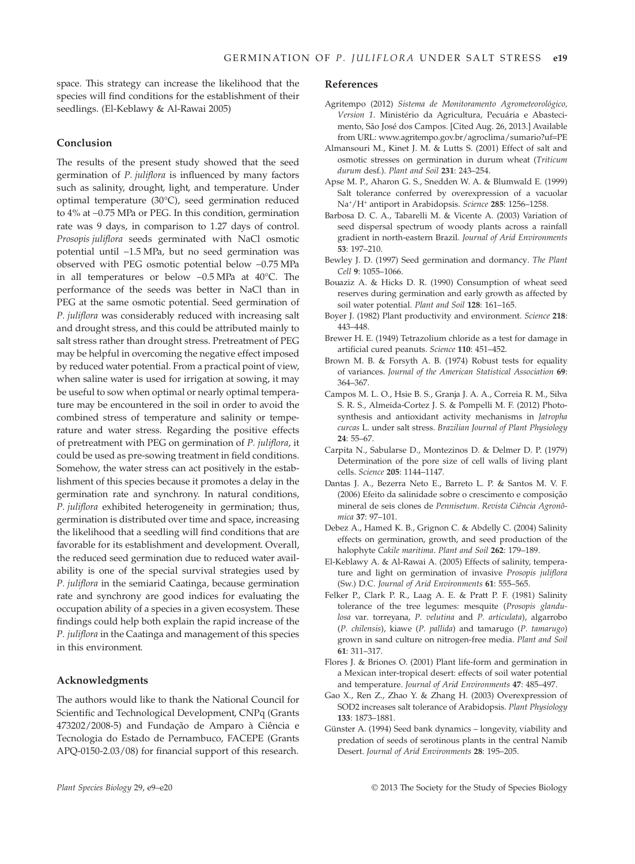space. This strategy can increase the likelihood that the species will find conditions for the establishment of their seedlings. (El-Keblawy & Al-Rawai 2005)

## **Conclusion**

The results of the present study showed that the seed germination of *P. juliflora* is influenced by many factors such as salinity, drought, light, and temperature. Under optimal temperature (30°C), seed germination reduced to 4% at −0.75 MPa or PEG. In this condition, germination rate was 9 days, in comparison to 1.27 days of control. *Prosopis juliflora* seeds germinated with NaCl osmotic potential until −1.5 MPa, but no seed germination was observed with PEG osmotic potential below −0.75 MPa in all temperatures or below −0.5 MPa at 40°C. The performance of the seeds was better in NaCl than in PEG at the same osmotic potential. Seed germination of *P. juliflora* was considerably reduced with increasing salt and drought stress, and this could be attributed mainly to salt stress rather than drought stress. Pretreatment of PEG may be helpful in overcoming the negative effect imposed by reduced water potential. From a practical point of view, when saline water is used for irrigation at sowing, it may be useful to sow when optimal or nearly optimal temperature may be encountered in the soil in order to avoid the combined stress of temperature and salinity or temperature and water stress. Regarding the positive effects of pretreatment with PEG on germination of *P. juliflora*, it could be used as pre-sowing treatment in field conditions. Somehow, the water stress can act positively in the establishment of this species because it promotes a delay in the germination rate and synchrony. In natural conditions, *P. juliflora* exhibited heterogeneity in germination; thus, germination is distributed over time and space, increasing the likelihood that a seedling will find conditions that are favorable for its establishment and development. Overall, the reduced seed germination due to reduced water availability is one of the special survival strategies used by *P. juliflora* in the semiarid Caatinga, because germination rate and synchrony are good indices for evaluating the occupation ability of a species in a given ecosystem. These findings could help both explain the rapid increase of the *P. juliflora* in the Caatinga and management of this species in this environment.

## **Acknowledgments**

The authors would like to thank the National Council for Scientific and Technological Development, CNPq (Grants 473202/2008-5) and Fundação de Amparo à Ciência e Tecnologia do Estado de Pernambuco, FACEPE (Grants APQ-0150-2.03/08) for financial support of this research.

#### **References**

- Agritempo (2012) *Sistema de Monitoramento Agrometeorológico, Version 1*. Ministério da Agricultura, Pecuária e Abastecimento, São José dos Campos. [Cited Aug. 26, 2013.] Available from URL: [www.agritempo.gov.br/agroclima/sumario?uf](http://www.agritempo.gov.br/agroclima/sumario?uf=PE)=PE
- Almansouri M., Kinet J. M. & Lutts S. (2001) Effect of salt and osmotic stresses on germination in durum wheat (*Triticum durum* desf.). *Plant and Soil* **231**: 243–254.
- Apse M. P., Aharon G. S., Snedden W. A. & Blumwald E. (1999) Salt tolerance conferred by overexpression of a vacuolar Na<sup>+</sup> /H<sup>+</sup> antiport in Arabidopsis. *Science* **285**: 1256–1258.
- Barbosa D. C. A., Tabarelli M. & Vicente A. (2003) Variation of seed dispersal spectrum of woody plants across a rainfall gradient in north-eastern Brazil. *Journal of Arid Environments* **53**: 197–210.
- Bewley J. D. (1997) Seed germination and dormancy. *The Plant Cell* **9**: 1055–1066.
- Bouaziz A. & Hicks D. R. (1990) Consumption of wheat seed reserves during germination and early growth as affected by soil water potential. *Plant and Soil* **128**: 161–165.
- Boyer J. (1982) Plant productivity and environment. *Science* **218**: 443–448.
- Brewer H. E. (1949) Tetrazolium chloride as a test for damage in artificial cured peanuts. *Science* **110**: 451–452.
- Brown M. B. & Forsyth A. B. (1974) Robust tests for equality of variances. *Journal of the American Statistical Association* **69**: 364–367.
- Campos M. L. O., Hsie B. S., Granja J. A. A., Correia R. M., Silva S. R. S., Almeida-Cortez J. S. & Pompelli M. F. (2012) Photosynthesis and antioxidant activity mechanisms in *Jatropha curcas* L. under salt stress. *Brazilian Journal of Plant Physiology* **24**: 55–67.
- Carpita N., Sabularse D., Montezinos D. & Delmer D. P. (1979) Determination of the pore size of cell walls of living plant cells. *Science* **205**: 1144–1147.
- Dantas J. A., Bezerra Neto E., Barreto L. P. & Santos M. V. F. (2006) Efeito da salinidade sobre o crescimento e composição mineral de seis clones de *Pennisetum*. *Revista Ciência Agronômica* **37**: 97–101.
- Debez A., Hamed K. B., Grignon C. & Abdelly C. (2004) Salinity effects on germination, growth, and seed production of the halophyte *Cakile maritima*. *Plant and Soil* **262**: 179–189.
- El-Keblawy A. & Al-Rawai A. (2005) Effects of salinity, temperature and light on germination of invasive *Prosopis juliflora* (Sw.) D.C. *Journal of Arid Environments* **61**: 555–565.
- Felker P., Clark P. R., Laag A. E. & Pratt P. F. (1981) Salinity tolerance of the tree legumes: mesquite (*Prosopis glandulosa* var. torreyana, *P. velutina* and *P. articulata*), algarrobo (*P. chilensis*), kiawe (*P. pallida*) and tamarugo (*P. tamarugo*) grown in sand culture on nitrogen-free media. *Plant and Soil* **61**: 311–317.
- Flores J. & Briones O. (2001) Plant life-form and germination in a Mexican inter-tropical desert: effects of soil water potential and temperature. *Journal of Arid Environments* **47**: 485–497.
- Gao X., Ren Z., Zhao Y. & Zhang H. (2003) Overexpression of SOD2 increases salt tolerance of Arabidopsis. *Plant Physiology* **133**: 1873–1881.
- Günster A. (1994) Seed bank dynamics longevity, viability and predation of seeds of serotinous plants in the central Namib Desert. *Journal of Arid Environments* **28**: 195–205.